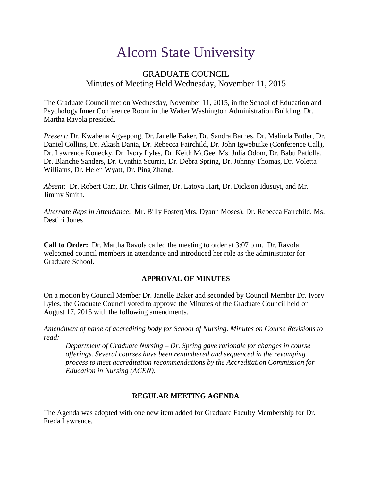# Alcorn State University

# GRADUATE COUNCIL Minutes of Meeting Held Wednesday, November 11, 2015

The Graduate Council met on Wednesday, November 11, 2015, in the School of Education and Psychology Inner Conference Room in the Walter Washington Administration Building. Dr. Martha Ravola presided.

*Present:* Dr. Kwabena Agyepong, Dr. Janelle Baker, Dr. Sandra Barnes, Dr. Malinda Butler, Dr. Daniel Collins, Dr. Akash Dania, Dr. Rebecca Fairchild, Dr. John Igwebuike (Conference Call), Dr. Lawrence Konecky, Dr. Ivory Lyles, Dr. Keith McGee, Ms. Julia Odom, Dr. Babu Patlolla, Dr. Blanche Sanders, Dr. Cynthia Scurria, Dr. Debra Spring, Dr. Johnny Thomas, Dr. Voletta Williams, Dr. Helen Wyatt, Dr. Ping Zhang.

*Absent:* Dr. Robert Carr, Dr. Chris Gilmer, Dr. Latoya Hart, Dr. Dickson Idusuyi, and Mr. Jimmy Smith.

*Alternate Reps in Attendance*: Mr. Billy Foster(Mrs. Dyann Moses), Dr. Rebecca Fairchild, Ms. Destini Jones

**Call to Order:** Dr. Martha Ravola called the meeting to order at 3:07 p.m. Dr. Ravola welcomed council members in attendance and introduced her role as the administrator for Graduate School.

## **APPROVAL OF MINUTES**

On a motion by Council Member Dr. Janelle Baker and seconded by Council Member Dr. Ivory Lyles, the Graduate Council voted to approve the Minutes of the Graduate Council held on August 17, 2015 with the following amendments.

*Amendment of name of accrediting body for School of Nursing. Minutes on Course Revisions to read:* 

*Department of Graduate Nursing – Dr. Spring gave rationale for changes in course offerings. Several courses have been renumbered and sequenced in the revamping process to meet accreditation recommendations by the Accreditation Commission for Education in Nursing (ACEN).*

#### **REGULAR MEETING AGENDA**

The Agenda was adopted with one new item added for Graduate Faculty Membership for Dr. Freda Lawrence.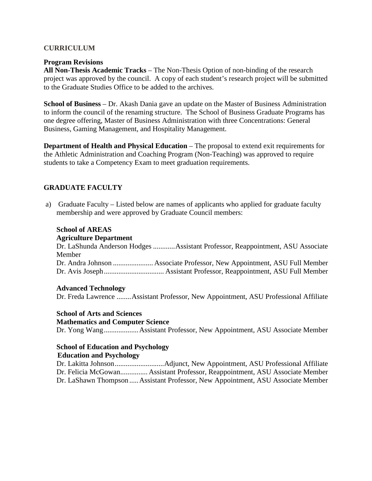#### **CURRICULUM**

#### **Program Revisions**

**All Non-Thesis Academic Tracks** – The Non-Thesis Option of non-binding of the research project was approved by the council. A copy of each student's research project will be submitted to the Graduate Studies Office to be added to the archives.

**School of Business** – Dr. Akash Dania gave an update on the Master of Business Administration to inform the council of the renaming structure. The School of Business Graduate Programs has one degree offering, Master of Business Administration with three Concentrations: General Business, Gaming Management, and Hospitality Management.

**Department of Health and Physical Education** – The proposal to extend exit requirements for the Athletic Administration and Coaching Program (Non-Teaching) was approved to require students to take a Competency Exam to meet graduation requirements.

## **GRADUATE FACULTY**

a) Graduate Faculty – Listed below are names of applicants who applied for graduate faculty membership and were approved by Graduate Council members:

#### **School of AREAS**

#### **Agriculture Department**

Dr. LaShunda Anderson Hodges ............Assistant Professor, Reappointment, ASU Associate Member Dr. Andra Johnson ...................... Associate Professor, New Appointment, ASU Full Member Dr. Avis Joseph................................. Assistant Professor, Reappointment, ASU Full Member

#### **Advanced Technology**

Dr. Freda Lawrence ........Assistant Professor, New Appointment, ASU Professional Affiliate

#### **School of Arts and Sciences**

#### **Mathematics and Computer Science**

Dr. Yong Wang...................Assistant Professor, New Appointment, ASU Associate Member

# **School of Education and Psychology**

# **Education and Psychology**

 Dr. Lakitta Johnson...........................Adjunct, New Appointment, ASU Professional Affiliate Dr. Felicia McGowan............... Assistant Professor, Reappointment, ASU Associate Member Dr. LaShawn Thompson .....Assistant Professor, New Appointment, ASU Associate Member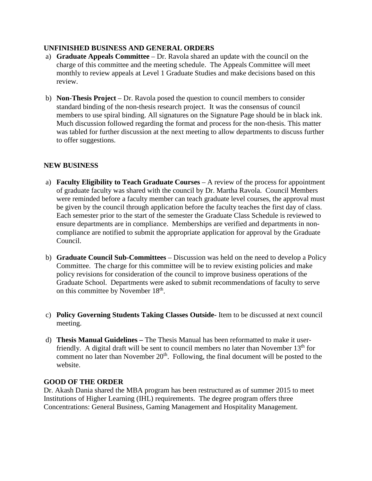#### **UNFINISHED BUSINESS AND GENERAL ORDERS**

- a) **Graduate Appeals Committee** Dr. Ravola shared an update with the council on the charge of this committee and the meeting schedule. The Appeals Committee will meet monthly to review appeals at Level 1 Graduate Studies and make decisions based on this review.
- b) **Non-Thesis Project** Dr. Ravola posed the question to council members to consider standard binding of the non-thesis research project. It was the consensus of council members to use spiral binding. All signatures on the Signature Page should be in black ink. Much discussion followed regarding the format and process for the non-thesis. This matter was tabled for further discussion at the next meeting to allow departments to discuss further to offer suggestions.

## **NEW BUSINESS**

- a) **Faculty Eligibility to Teach Graduate Courses** A review of the process for appointment of graduate faculty was shared with the council by Dr. Martha Ravola. Council Members were reminded before a faculty member can teach graduate level courses, the approval must be given by the council through application before the faculty teaches the first day of class. Each semester prior to the start of the semester the Graduate Class Schedule is reviewed to ensure departments are in compliance. Memberships are verified and departments in noncompliance are notified to submit the appropriate application for approval by the Graduate Council.
- b) **Graduate Council Sub-Committees**  Discussion was held on the need to develop a Policy Committee. The charge for this committee will be to review existing policies and make policy revisions for consideration of the council to improve business operations of the Graduate School. Departments were asked to submit recommendations of faculty to serve on this committee by November 18th.
- c) **Policy Governing Students Taking Classes Outside-** Item to be discussed at next council meeting.
- d) **Thesis Manual Guidelines –** The Thesis Manual has been reformatted to make it userfriendly. A digital draft will be sent to council members no later than November  $13<sup>th</sup>$  for comment no later than November  $20<sup>th</sup>$ . Following, the final document will be posted to the website.

#### **GOOD OF THE ORDER**

Dr. Akash Dania shared the MBA program has been restructured as of summer 2015 to meet Institutions of Higher Learning (IHL) requirements. The degree program offers three Concentrations: General Business, Gaming Management and Hospitality Management.